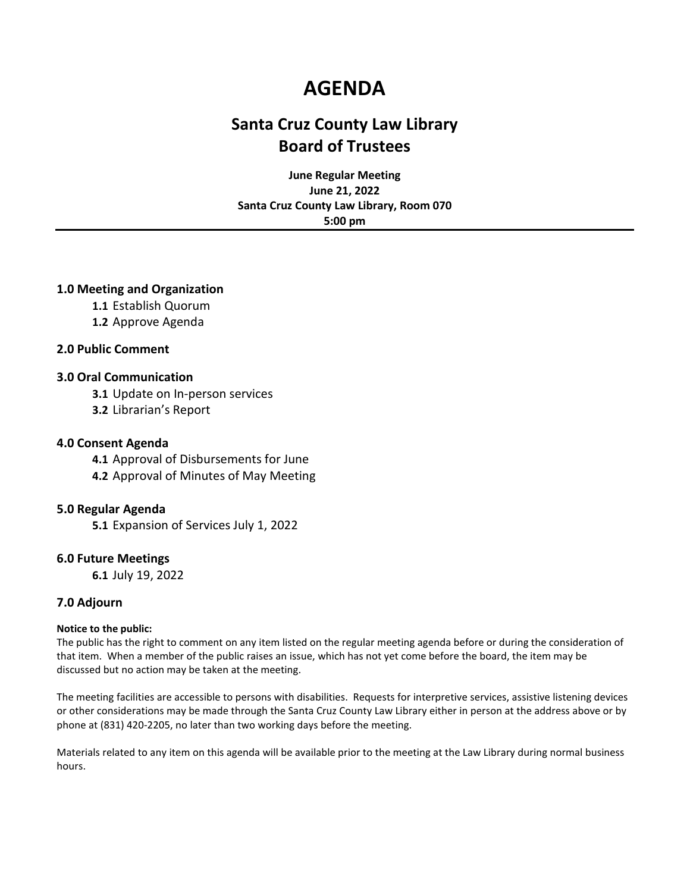# **AGENDA**

# **Santa Cruz County Law Library Board of Trustees**

**June Regular Meeting June 21, 2022 Santa Cruz County Law Library, Room 070 5:00 pm**

## **1.0 Meeting and Organization**

**1.1** Establish Quorum

**1.2** Approve Agenda

## **2.0 Public Comment**

### **3.0 Oral Communication**

**3.1** Update on In-person services

**3.2** Librarian's Report

### **4.0 Consent Agenda**

**4.1** Approval of Disbursements for June **4.2** Approval of Minutes of May Meeting

### **5.0 Regular Agenda**

**5.1** Expansion of Services July 1, 2022

### **6.0 Future Meetings**

**6.1** July 19, 2022

### **7.0 Adjourn**

### **Notice to the public:**

The public has the right to comment on any item listed on the regular meeting agenda before or during the consideration of that item. When a member of the public raises an issue, which has not yet come before the board, the item may be discussed but no action may be taken at the meeting.

The meeting facilities are accessible to persons with disabilities. Requests for interpretive services, assistive listening devices or other considerations may be made through the Santa Cruz County Law Library either in person at the address above or by phone at (831) 420-2205, no later than two working days before the meeting.

Materials related to any item on this agenda will be available prior to the meeting at the Law Library during normal business hours.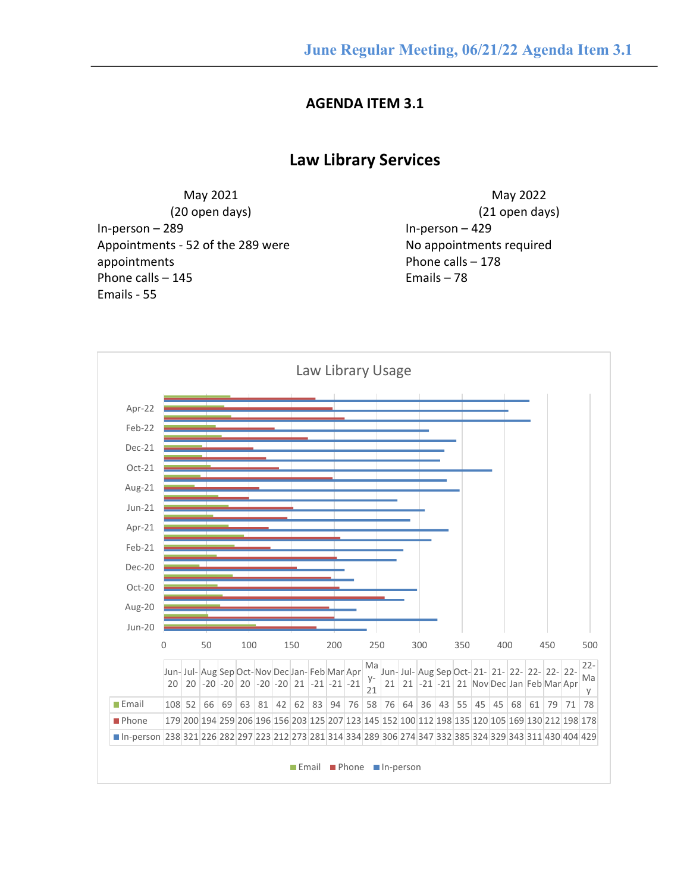# **AGENDA ITEM 3.1**

# **Law Library Services**

May 2021 (20 open days) In-person – 289 Appointments - 52 of the 289 were appointments Phone calls – 145 Emails - 55

May 2022 (21 open days) In-person – 429 No appointments required Phone calls – 178 Emails – 78

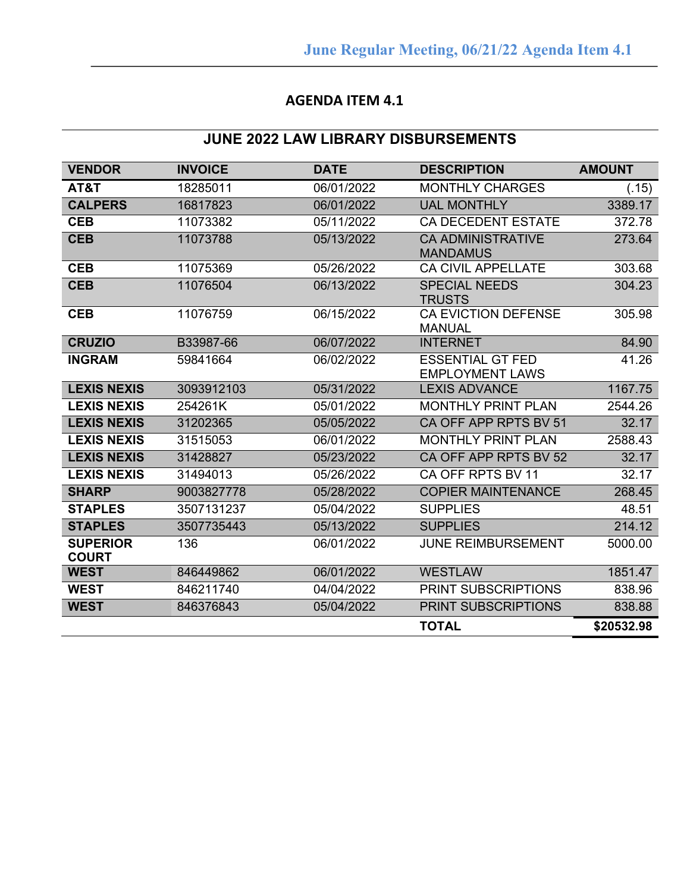# **AGENDA ITEM 4.1**

# **JUNE 2022 LAW LIBRARY DISBURSEMENTS**

| <b>VENDOR</b>                   | <b>INVOICE</b> | <b>DATE</b> | <b>DESCRIPTION</b>                                | <b>AMOUNT</b> |
|---------------------------------|----------------|-------------|---------------------------------------------------|---------------|
| AT&T                            | 18285011       | 06/01/2022  | <b>MONTHLY CHARGES</b>                            | (.15)         |
| <b>CALPERS</b>                  | 16817823       | 06/01/2022  | <b>UAL MONTHLY</b>                                | 3389.17       |
| <b>CEB</b>                      | 11073382       | 05/11/2022  | <b>CA DECEDENT ESTATE</b>                         | 372.78        |
| <b>CEB</b>                      | 11073788       | 05/13/2022  | <b>CA ADMINISTRATIVE</b><br><b>MANDAMUS</b>       | 273.64        |
| <b>CEB</b>                      | 11075369       | 05/26/2022  | CA CIVIL APPELLATE                                | 303.68        |
| <b>CEB</b>                      | 11076504       | 06/13/2022  | <b>SPECIAL NEEDS</b><br><b>TRUSTS</b>             | 304.23        |
| <b>CEB</b>                      | 11076759       | 06/15/2022  | <b>CA EVICTION DEFENSE</b><br><b>MANUAL</b>       | 305.98        |
| <b>CRUZIO</b>                   | B33987-66      | 06/07/2022  | <b>INTERNET</b>                                   | 84.90         |
| <b>INGRAM</b>                   | 59841664       | 06/02/2022  | <b>ESSENTIAL GT FED</b><br><b>EMPLOYMENT LAWS</b> | 41.26         |
| <b>LEXIS NEXIS</b>              | 3093912103     | 05/31/2022  | <b>LEXIS ADVANCE</b>                              | 1167.75       |
| <b>LEXIS NEXIS</b>              | 254261K        | 05/01/2022  | <b>MONTHLY PRINT PLAN</b>                         | 2544.26       |
| <b>LEXIS NEXIS</b>              | 31202365       | 05/05/2022  | CA OFF APP RPTS BV 51                             | 32.17         |
| <b>LEXIS NEXIS</b>              | 31515053       | 06/01/2022  | <b>MONTHLY PRINT PLAN</b>                         | 2588.43       |
| <b>LEXIS NEXIS</b>              | 31428827       | 05/23/2022  | CA OFF APP RPTS BV 52                             | 32.17         |
| <b>LEXIS NEXIS</b>              | 31494013       | 05/26/2022  | CA OFF RPTS BV 11                                 | 32.17         |
| <b>SHARP</b>                    | 9003827778     | 05/28/2022  | <b>COPIER MAINTENANCE</b>                         | 268.45        |
| <b>STAPLES</b>                  | 3507131237     | 05/04/2022  | <b>SUPPLIES</b>                                   | 48.51         |
| <b>STAPLES</b>                  | 3507735443     | 05/13/2022  | <b>SUPPLIES</b>                                   | 214.12        |
| <b>SUPERIOR</b><br><b>COURT</b> | 136            | 06/01/2022  | <b>JUNE REIMBURSEMENT</b>                         | 5000.00       |
| <b>WEST</b>                     | 846449862      | 06/01/2022  | <b>WESTLAW</b>                                    | 1851.47       |
| <b>WEST</b>                     | 846211740      | 04/04/2022  | PRINT SUBSCRIPTIONS                               | 838.96        |
| <b>WEST</b>                     | 846376843      | 05/04/2022  | PRINT SUBSCRIPTIONS                               | 838.88        |
|                                 |                |             | <b>TOTAL</b>                                      | \$20532.98    |